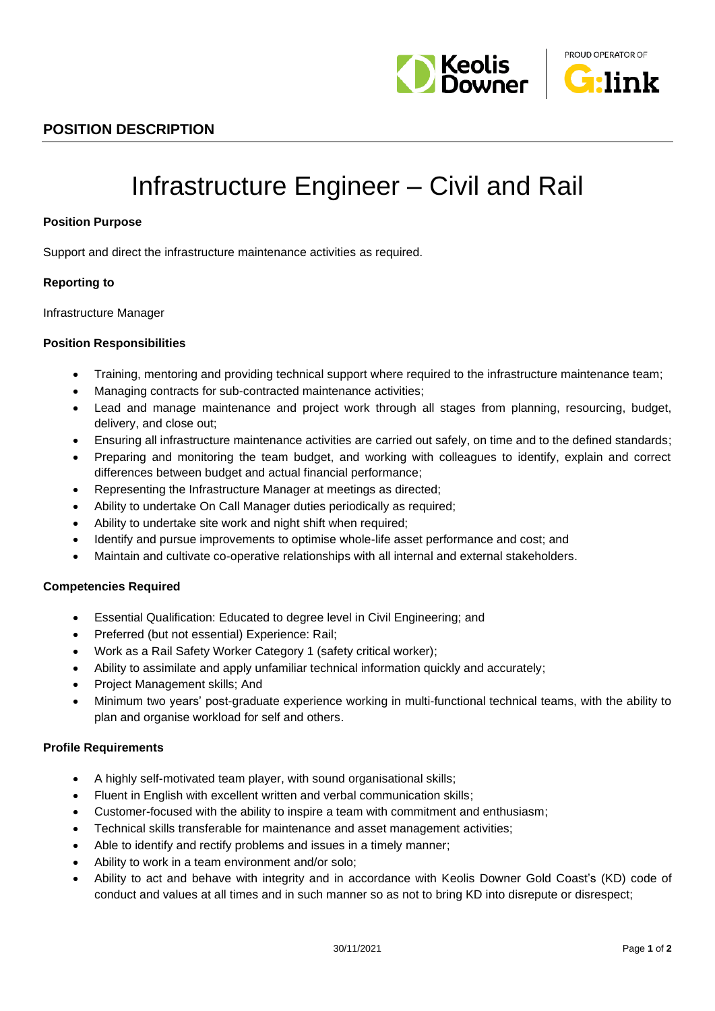



## **POSITION DESCRIPTION**

# Infrastructure Engineer – Civil and Rail

#### **Position Purpose**

Support and direct the infrastructure maintenance activities as required.

#### **Reporting to**

Infrastructure Manager

#### **Position Responsibilities**

- Training, mentoring and providing technical support where required to the infrastructure maintenance team;
- Managing contracts for sub-contracted maintenance activities;
- Lead and manage maintenance and project work through all stages from planning, resourcing, budget, delivery, and close out;
- Ensuring all infrastructure maintenance activities are carried out safely, on time and to the defined standards;
- Preparing and monitoring the team budget, and working with colleagues to identify, explain and correct differences between budget and actual financial performance;
- Representing the Infrastructure Manager at meetings as directed;
- Ability to undertake On Call Manager duties periodically as required;
- Ability to undertake site work and night shift when required;
- Identify and pursue improvements to optimise whole-life asset performance and cost; and
- Maintain and cultivate co-operative relationships with all internal and external stakeholders.

#### **Competencies Required**

- Essential Qualification: Educated to degree level in Civil Engineering; and
- Preferred (but not essential) Experience: Rail;
- Work as a Rail Safety Worker Category 1 (safety critical worker);
- Ability to assimilate and apply unfamiliar technical information quickly and accurately;
- Project Management skills; And
- Minimum two years' post-graduate experience working in multi-functional technical teams, with the ability to plan and organise workload for self and others.

#### **Profile Requirements**

- A highly self-motivated team player, with sound organisational skills;
- Fluent in English with excellent written and verbal communication skills;
- Customer-focused with the ability to inspire a team with commitment and enthusiasm;
- Technical skills transferable for maintenance and asset management activities;
- Able to identify and rectify problems and issues in a timely manner;
- Ability to work in a team environment and/or solo;
- Ability to act and behave with integrity and in accordance with Keolis Downer Gold Coast's (KD) code of conduct and values at all times and in such manner so as not to bring KD into disrepute or disrespect;